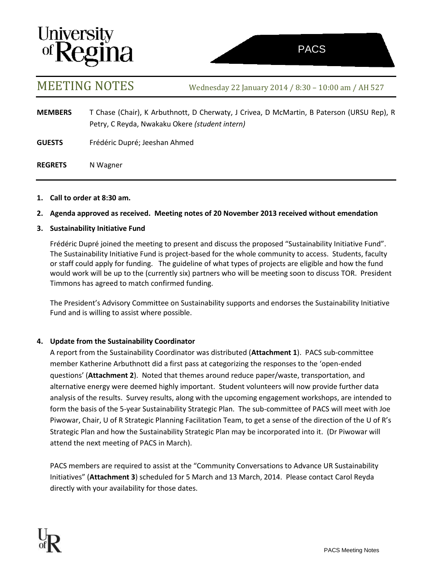# **University<br>of Regina**

MEETING NOTES Wednesday <sup>22</sup> January 2014 / 8:30 – 10:00 am / AH <sup>527</sup>

| <b>MEMBERS</b> | T Chase (Chair), K Arbuthnott, D Cherwaty, J Crivea, D McMartin, B Paterson (URSU Rep), R<br>Petry, C Reyda, Nwakaku Okere (student intern) |
|----------------|---------------------------------------------------------------------------------------------------------------------------------------------|
| <b>GUESTS</b>  | Frédéric Dupré; Jeeshan Ahmed                                                                                                               |
| <b>REGRETS</b> | N Wagner                                                                                                                                    |

### **1. Call to order at 8:30 am.**

## **2. Agenda approved as received. Meeting notes of 20 November 2013 received without emendation**

### **3. Sustainability Initiative Fund**

Frédéric Dupré joined the meeting to present and discuss the proposed "Sustainability Initiative Fund". The Sustainability Initiative Fund is project-based for the whole community to access. Students, faculty or staff could apply for funding. The guideline of what types of projects are eligible and how the fund would work will be up to the (currently six) partners who will be meeting soon to discuss TOR. President Timmons has agreed to match confirmed funding.

The President's Advisory Committee on Sustainability supports and endorses the Sustainability Initiative Fund and is willing to assist where possible.

# **4. Update from the Sustainability Coordinator**

A report from the Sustainability Coordinator was distributed (**Attachment 1**). PACS sub-committee member Katherine Arbuthnott did a first pass at categorizing the responses to the 'open-ended questions' (**Attachment 2**). Noted that themes around reduce paper/waste, transportation, and alternative energy were deemed highly important. Student volunteers will now provide further data analysis of the results. Survey results, along with the upcoming engagement workshops, are intended to form the basis of the 5-year Sustainability Strategic Plan. The sub-committee of PACS will meet with Joe Piwowar, Chair, U of R Strategic Planning Facilitation Team, to get a sense of the direction of the U of R's Strategic Plan and how the Sustainability Strategic Plan may be incorporated into it. (Dr Piwowar will attend the next meeting of PACS in March).

PACS members are required to assist at the "Community Conversations to Advance UR Sustainability Initiatives" (**Attachment 3**) scheduled for 5 March and 13 March, 2014. Please contact Carol Reyda directly with your availability for those dates.